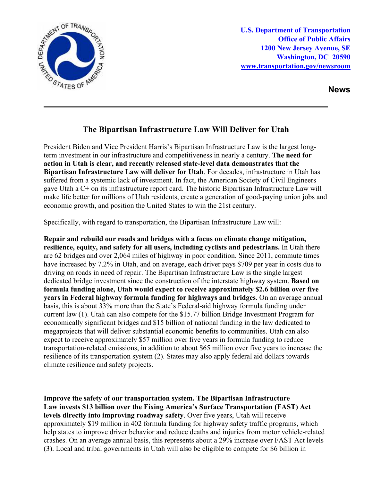

**U.S. Department of Transportation Office of Public Affairs 1200 New Jersey Avenue, SE Washington, DC 20590 [www.transportation.gov/newsroom](http://www.transportation.gov/newsroom)** 

**News**

## **The Bipartisan Infrastructure Law Will Deliver for Utah**

President Biden and Vice President Harris's Bipartisan Infrastructure Law is the largest longterm investment in our infrastructure and competitiveness in nearly a century. **The need for action in Utah is clear, and recently released state-level data demonstrates that the Bipartisan Infrastructure Law will deliver for Utah**. For decades, infrastructure in Utah has suffered from a systemic lack of investment. In fact, the American Society of Civil Engineers gave Utah a C+ on its infrastructure report card. The historic Bipartisan Infrastructure Law will make life better for millions of Utah residents, create a generation of good-paying union jobs and economic growth, and position the United States to win the 21st century.

Specifically, with regard to transportation, the Bipartisan Infrastructure Law will:

**Repair and rebuild our roads and bridges with a focus on climate change mitigation, resilience, equity, and safety for all users, including cyclists and pedestrians.** In Utah there are 62 bridges and over 2,064 miles of highway in poor condition. Since 2011, commute times have increased by 7.2% in Utah, and on average, each driver pays \$709 per year in costs due to driving on roads in need of repair. The Bipartisan Infrastructure Law is the single largest dedicated bridge investment since the construction of the interstate highway system. **Based on formula funding alone, Utah would expect to receive approximately \$2.6 billion over five years in Federal highway formula funding for highways and bridges**. On an average annual basis, this is about 33% more than the State's Federal-aid highway formula funding under current law (1). Utah can also compete for the \$15.77 billion Bridge Investment Program for economically significant bridges and \$15 billion of national funding in the law dedicated to megaprojects that will deliver substantial economic benefits to communities. Utah can also expect to receive approximately \$57 million over five years in formula funding to reduce transportation-related emissions, in addition to about \$65 million over five years to increase the resilience of its transportation system (2). States may also apply federal aid dollars towards climate resilience and safety projects.

**Improve the safety of our transportation system. The Bipartisan Infrastructure Law invests \$13 billion over the Fixing America's Surface Transportation (FAST) Act levels directly into improving roadway safety**. Over five years, Utah will receive approximately \$19 million in 402 formula funding for highway safety traffic programs, which help states to improve driver behavior and reduce deaths and injuries from motor vehicle-related crashes. On an average annual basis, this represents about a 29% increase over FAST Act levels (3). Local and tribal governments in Utah will also be eligible to compete for \$6 billion in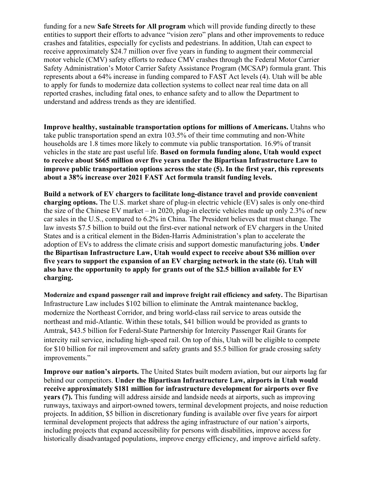funding for a new **Safe Streets for All program** which will provide funding directly to these entities to support their efforts to advance "vision zero" plans and other improvements to reduce crashes and fatalities, especially for cyclists and pedestrians. In addition, Utah can expect to receive approximately \$24.7 million over five years in funding to augment their commercial motor vehicle (CMV) safety efforts to reduce CMV crashes through the Federal Motor Carrier Safety Administration's Motor Carrier Safety Assistance Program (MCSAP) formula grant. This represents about a 64% increase in funding compared to FAST Act levels (4). Utah will be able to apply for funds to modernize data collection systems to collect near real time data on all reported crashes, including fatal ones, to enhance safety and to allow the Department to understand and address trends as they are identified.

**Improve healthy, sustainable transportation options for millions of Americans.** Utahns who take public transportation spend an extra 103.5% of their time commuting and non-White households are 1.8 times more likely to commute via public transportation. 16.9% of transit vehicles in the state are past useful life. **Based on formula funding alone, Utah would expect to receive about \$665 million over five years under the Bipartisan Infrastructure Law to improve public transportation options across the state (5). In the first year, this represents about a 38% increase over 2021 FAST Act formula transit funding levels.**

**Build a network of EV chargers to facilitate long-distance travel and provide convenient charging options.** The U.S. market share of plug-in electric vehicle (EV) sales is only one-third the size of the Chinese EV market – in 2020, plug-in electric vehicles made up only 2.3% of new car sales in the U.S., compared to 6.2% in China. The President believes that must change. The law invests \$7.5 billion to build out the first-ever national network of EV chargers in the United States and is a critical element in the Biden-Harris Administration's plan to accelerate the adoption of EVs to address the climate crisis and support domestic manufacturing jobs. **Under the Bipartisan Infrastructure Law, Utah would expect to receive about \$36 million over five years to support the expansion of an EV charging network in the state (6). Utah will also have the opportunity to apply for grants out of the \$2.5 billion available for EV charging.** 

**Modernize and expand passenger rail and improve freight rail efficiency and safety.** The Bipartisan Infrastructure Law includes \$102 billion to eliminate the Amtrak maintenance backlog, modernize the Northeast Corridor, and bring world-class rail service to areas outside the northeast and mid-Atlantic. Within these totals, \$41 billion would be provided as grants to Amtrak, \$43.5 billion for Federal-State Partnership for Intercity Passenger Rail Grants for intercity rail service, including high-speed rail. On top of this, Utah will be eligible to compete for \$10 billion for rail improvement and safety grants and \$5.5 billion for grade crossing safety improvements."

**Improve our nation's airports.** The United States built modern aviation, but our airports lag far behind our competitors. **Under the Bipartisan Infrastructure Law, airports in Utah would receive approximately \$181 million for infrastructure development for airports over five years (7).** This funding will address airside and landside needs at airports, such as improving runways, taxiways and airport-owned towers, terminal development projects, and noise reduction projects. In addition, \$5 billion in discretionary funding is available over five years for airport terminal development projects that address the aging infrastructure of our nation's airports, including projects that expand accessibility for persons with disabilities, improve access for historically disadvantaged populations, improve energy efficiency, and improve airfield safety.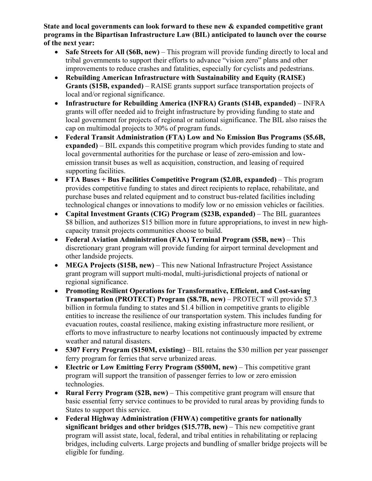**State and local governments can look forward to these new & expanded competitive grant programs in the Bipartisan Infrastructure Law (BIL) anticipated to launch over the course of the next year:** 

- **Safe Streets for All (\$6B, new)** This program will provide funding directly to local and tribal governments to support their efforts to advance "vision zero" plans and other improvements to reduce crashes and fatalities, especially for cyclists and pedestrians.
- **Rebuilding American Infrastructure with Sustainability and Equity (RAISE) Grants (\$15B, expanded)** – RAISE grants support surface transportation projects of local and/or regional significance.
- **Infrastructure for Rebuilding America (INFRA) Grants (\$14B, expanded)**  INFRA grants will offer needed aid to freight infrastructure by providing funding to state and local government for projects of regional or national significance. The BIL also raises the cap on multimodal projects to 30% of program funds.
- **Federal Transit Administration (FTA) Low and No Emission Bus Programs (\$5.6B, expanded)** – BIL expands this competitive program which provides funding to state and local governmental authorities for the purchase or lease of zero-emission and lowemission transit buses as well as acquisition, construction, and leasing of required supporting facilities.
- **FTA Buses + Bus Facilities Competitive Program (\$2.0B, expanded)** This program provides competitive funding to states and direct recipients to replace, rehabilitate, and purchase buses and related equipment and to construct bus-related facilities including technological changes or innovations to modify low or no emission vehicles or facilities.
- **Capital Investment Grants (CIG) Program (\$23B, expanded)** The BIL guarantees \$8 billion, and authorizes \$15 billion more in future appropriations, to invest in new highcapacity transit projects communities choose to build.
- **Federal Aviation Administration (FAA) Terminal Program (\$5B, new)** This discretionary grant program will provide funding for airport terminal development and other landside projects.
- **MEGA Projects (\$15B, new)** This new National Infrastructure Project Assistance grant program will support multi-modal, multi-jurisdictional projects of national or regional significance.
- **Promoting Resilient Operations for Transformative, Efficient, and Cost-saving Transportation (PROTECT) Program (\$8.7B, new)** – PROTECT will provide \$7.3 billion in formula funding to states and \$1.4 billion in competitive grants to eligible entities to increase the resilience of our transportation system. This includes funding for evacuation routes, coastal resilience, making existing infrastructure more resilient, or efforts to move infrastructure to nearby locations not continuously impacted by extreme weather and natural disasters.
- **5307 Ferry Program (\$150M, existing)** BIL retains the \$30 million per year passenger ferry program for ferries that serve urbanized areas.
- **Electric or Low Emitting Ferry Program (\$500M, new)** This competitive grant program will support the transition of passenger ferries to low or zero emission technologies.
- **Rural Ferry Program (\$2B, new)** This competitive grant program will ensure that basic essential ferry service continues to be provided to rural areas by providing funds to States to support this service.
- **Federal Highway Administration (FHWA) competitive grants for nationally significant bridges and other bridges (\$15.77B, new)** – This new competitive grant program will assist state, local, federal, and tribal entities in rehabilitating or replacing bridges, including culverts. Large projects and bundling of smaller bridge projects will be eligible for funding.